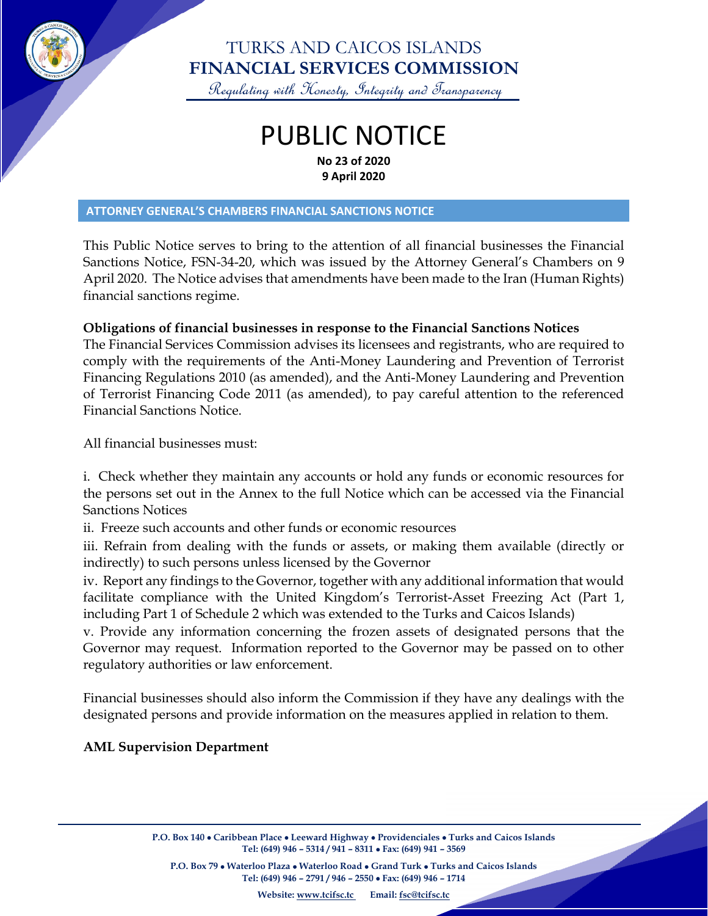

## TURKS AND CAICOS ISLANDS **FINANCIAL SERVICES COMMISSION**

Regulating with Honesty, Integrity and Transparency

## PUBLIC NOTICE **No 23 of 2020 9 April 2020**

#### **ATTORNEY GENERAL'S CHAMBERS FINANCIAL SANCTIONS NOTICE**

This Public Notice serves to bring to the attention of all financial businesses the Financial Sanctions Notice, FSN-34-20, which was issued by the Attorney General's Chambers on 9 April 2020. The Notice advises that amendments have been made to the Iran (Human Rights) financial sanctions regime.

### **Obligations of financial businesses in response to the Financial Sanctions Notices**

The Financial Services Commission advises its licensees and registrants, who are required to comply with the requirements of the Anti-Money Laundering and Prevention of Terrorist Financing Regulations 2010 (as amended), and the Anti-Money Laundering and Prevention of Terrorist Financing Code 2011 (as amended), to pay careful attention to the referenced Financial Sanctions Notice.

All financial businesses must:

i. Check whether they maintain any accounts or hold any funds or economic resources for the persons set out in the Annex to the full Notice which can be accessed via the Financial Sanctions Notices

ii. Freeze such accounts and other funds or economic resources

iii. Refrain from dealing with the funds or assets, or making them available (directly or indirectly) to such persons unless licensed by the Governor

iv. Report any findings to the Governor, together with any additional information that would facilitate compliance with the United Kingdom's Terrorist-Asset Freezing Act (Part 1, including Part 1 of Schedule 2 which was extended to the Turks and Caicos Islands)

v. Provide any information concerning the frozen assets of designated persons that the Governor may request. Information reported to the Governor may be passed on to other regulatory authorities or law enforcement.

Financial businesses should also inform the Commission if they have any dealings with the designated persons and provide information on the measures applied in relation to them.

### **AML Supervision Department**

**P.O. Box 140** • **Caribbean Place** • **Leeward Highway** • **Providenciales** • **Turks and Caicos Islands Tel: (649) 946 – 5314 / 941 – 8311** • **Fax: (649) 941 – 3569**

**P.O. Box 79** • **Waterloo Plaza** • **Waterloo Road** • **Grand Turk** • **Turks and Caicos Islands Tel: (649) 946 – 2791 / 946 – 2550** • **Fax: (649) 946 – 1714**

**Website: [www.tcifsc.tc](http://www.tcifsc.tc/) Email[: fsc@tcifsc.tc](mailto:fsc@tcifsc.tc)**